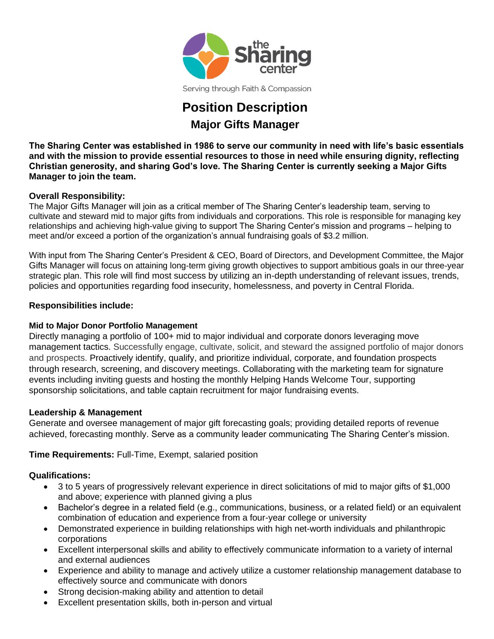

Serving through Faith & Compassion

# **Position Description Major Gifts Manager**

**The Sharing Center was established in 1986 to serve our community in need with life's basic essentials and with the mission to provide essential resources to those in need while ensuring dignity, reflecting Christian generosity, and sharing God's love. The Sharing Center is currently seeking a Major Gifts Manager to join the team.** 

## **Overall Responsibility:**

The Major Gifts Manager will join as a critical member of The Sharing Center's leadership team, serving to cultivate and steward mid to major gifts from individuals and corporations. This role is responsible for managing key relationships and achieving high-value giving to support The Sharing Center's mission and programs – helping to meet and/or exceed a portion of the organization's annual fundraising goals of \$3.2 million.

With input from The Sharing Center's President & CEO, Board of Directors, and Development Committee, the Major Gifts Manager will focus on attaining long-term giving growth objectives to support ambitious goals in our three-year strategic plan. This role will find most success by utilizing an in-depth understanding of relevant issues, trends, policies and opportunities regarding food insecurity, homelessness, and poverty in Central Florida.

#### **Responsibilities include:**

## **Mid to Major Donor Portfolio Management**

Directly managing a portfolio of 100+ mid to major individual and corporate donors leveraging move management tactics. Successfully engage, cultivate, solicit, and steward the assigned portfolio of major donors and prospects. Proactively identify, qualify, and prioritize individual, corporate, and foundation prospects through research, screening, and discovery meetings. Collaborating with the marketing team for signature events including inviting guests and hosting the monthly Helping Hands Welcome Tour, supporting sponsorship solicitations, and table captain recruitment for major fundraising events.

#### **Leadership & Management**

Generate and oversee management of major gift forecasting goals; providing detailed reports of revenue achieved, forecasting monthly. Serve as a community leader communicating The Sharing Center's mission.

## **Time Requirements:** Full-Time, Exempt, salaried position

#### **Qualifications:**

- 3 to 5 years of progressively relevant experience in direct solicitations of mid to major gifts of \$1,000 and above; experience with planned giving a plus
- Bachelor's degree in a related field (e.g., communications, business, or a related field) or an equivalent combination of education and experience from a four-year college or university
- Demonstrated experience in building relationships with high net-worth individuals and philanthropic corporations
- Excellent interpersonal skills and ability to effectively communicate information to a variety of internal and external audiences
- Experience and ability to manage and actively utilize a customer relationship management database to effectively source and communicate with donors
- Strong decision-making ability and attention to detail
- Excellent presentation skills, both in-person and virtual